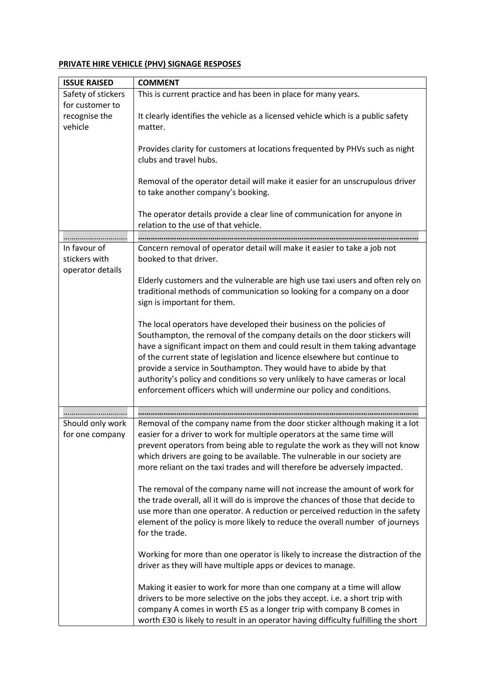## **PRIVATE HIRE VEHICLE (PHV) SIGNAGE RESPOSES**

| <b>ISSUE RAISED</b> | <b>COMMENT</b>                                                                      |
|---------------------|-------------------------------------------------------------------------------------|
| Safety of stickers  | This is current practice and has been in place for many years.                      |
| for customer to     |                                                                                     |
| recognise the       | It clearly identifies the vehicle as a licensed vehicle which is a public safety    |
| vehicle             | matter.                                                                             |
|                     |                                                                                     |
|                     | Provides clarity for customers at locations frequented by PHVs such as night        |
|                     | clubs and travel hubs.                                                              |
|                     |                                                                                     |
|                     | Removal of the operator detail will make it easier for an unscrupulous driver       |
|                     | to take another company's booking.                                                  |
|                     |                                                                                     |
|                     | The operator details provide a clear line of communication for anyone in            |
|                     | relation to the use of that vehicle.                                                |
|                     |                                                                                     |
| In favour of        | Concern removal of operator detail will make it easier to take a job not            |
| stickers with       | booked to that driver.                                                              |
| operator details    |                                                                                     |
|                     | Elderly customers and the vulnerable are high use taxi users and often rely on      |
|                     | traditional methods of communication so looking for a company on a door             |
|                     | sign is important for them.                                                         |
|                     |                                                                                     |
|                     | The local operators have developed their business on the policies of                |
|                     | Southampton, the removal of the company details on the door stickers will           |
|                     | have a significant impact on them and could result in them taking advantage         |
|                     | of the current state of legislation and licence elsewhere but continue to           |
|                     | provide a service in Southampton. They would have to abide by that                  |
|                     | authority's policy and conditions so very unlikely to have cameras or local         |
|                     | enforcement officers which will undermine our policy and conditions.                |
|                     |                                                                                     |
| .                   |                                                                                     |
| Should only work    | Removal of the company name from the door sticker although making it a lot          |
| for one company     | easier for a driver to work for multiple operators at the same time will            |
|                     | prevent operators from being able to regulate the work as they will not know        |
|                     | which drivers are going to be available. The vulnerable in our society are          |
|                     | more reliant on the taxi trades and will therefore be adversely impacted.           |
|                     |                                                                                     |
|                     | The removal of the company name will not increase the amount of work for            |
|                     | the trade overall, all it will do is improve the chances of those that decide to    |
|                     | use more than one operator. A reduction or perceived reduction in the safety        |
|                     | element of the policy is more likely to reduce the overall number of journeys       |
|                     | for the trade.                                                                      |
|                     |                                                                                     |
|                     | Working for more than one operator is likely to increase the distraction of the     |
|                     | driver as they will have multiple apps or devices to manage.                        |
|                     |                                                                                     |
|                     | Making it easier to work for more than one company at a time will allow             |
|                     | drivers to be more selective on the jobs they accept. i.e. a short trip with        |
|                     | company A comes in worth £5 as a longer trip with company B comes in                |
|                     | worth £30 is likely to result in an operator having difficulty fulfilling the short |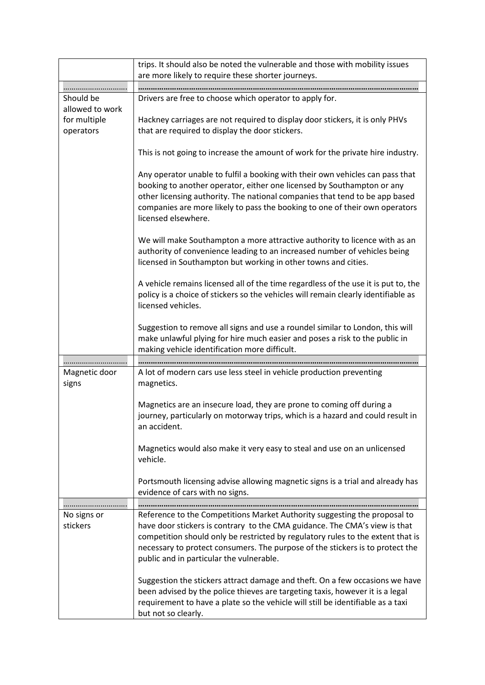|                        | trips. It should also be noted the vulnerable and those with mobility issues<br>are more likely to require these shorter journeys.                                                                                                                                                                                                           |
|------------------------|----------------------------------------------------------------------------------------------------------------------------------------------------------------------------------------------------------------------------------------------------------------------------------------------------------------------------------------------|
|                        |                                                                                                                                                                                                                                                                                                                                              |
| Should be              | Drivers are free to choose which operator to apply for.                                                                                                                                                                                                                                                                                      |
| allowed to work        |                                                                                                                                                                                                                                                                                                                                              |
| for multiple           | Hackney carriages are not required to display door stickers, it is only PHVs                                                                                                                                                                                                                                                                 |
| operators              | that are required to display the door stickers.                                                                                                                                                                                                                                                                                              |
|                        |                                                                                                                                                                                                                                                                                                                                              |
|                        | This is not going to increase the amount of work for the private hire industry.                                                                                                                                                                                                                                                              |
|                        | Any operator unable to fulfil a booking with their own vehicles can pass that<br>booking to another operator, either one licensed by Southampton or any<br>other licensing authority. The national companies that tend to be app based<br>companies are more likely to pass the booking to one of their own operators<br>licensed elsewhere. |
|                        | We will make Southampton a more attractive authority to licence with as an<br>authority of convenience leading to an increased number of vehicles being<br>licensed in Southampton but working in other towns and cities.                                                                                                                    |
|                        | A vehicle remains licensed all of the time regardless of the use it is put to, the<br>policy is a choice of stickers so the vehicles will remain clearly identifiable as<br>licensed vehicles.                                                                                                                                               |
|                        | Suggestion to remove all signs and use a roundel similar to London, this will<br>make unlawful plying for hire much easier and poses a risk to the public in<br>making vehicle identification more difficult.                                                                                                                                |
|                        |                                                                                                                                                                                                                                                                                                                                              |
| Magnetic door<br>signs | A lot of modern cars use less steel in vehicle production preventing<br>magnetics.                                                                                                                                                                                                                                                           |
|                        | Magnetics are an insecure load, they are prone to coming off during a<br>journey, particularly on motorway trips, which is a hazard and could result in<br>an accident.                                                                                                                                                                      |
|                        | Magnetics would also make it very easy to steal and use on an unlicensed<br>vehicle.                                                                                                                                                                                                                                                         |
|                        | Portsmouth licensing advise allowing magnetic signs is a trial and already has<br>evidence of cars with no signs.                                                                                                                                                                                                                            |
|                        |                                                                                                                                                                                                                                                                                                                                              |
| No signs or            | Reference to the Competitions Market Authority suggesting the proposal to                                                                                                                                                                                                                                                                    |
| stickers               | have door stickers is contrary to the CMA guidance. The CMA's view is that                                                                                                                                                                                                                                                                   |
|                        | competition should only be restricted by regulatory rules to the extent that is<br>necessary to protect consumers. The purpose of the stickers is to protect the<br>public and in particular the vulnerable.                                                                                                                                 |
|                        | Suggestion the stickers attract damage and theft. On a few occasions we have<br>been advised by the police thieves are targeting taxis, however it is a legal<br>requirement to have a plate so the vehicle will still be identifiable as a taxi<br>but not so clearly.                                                                      |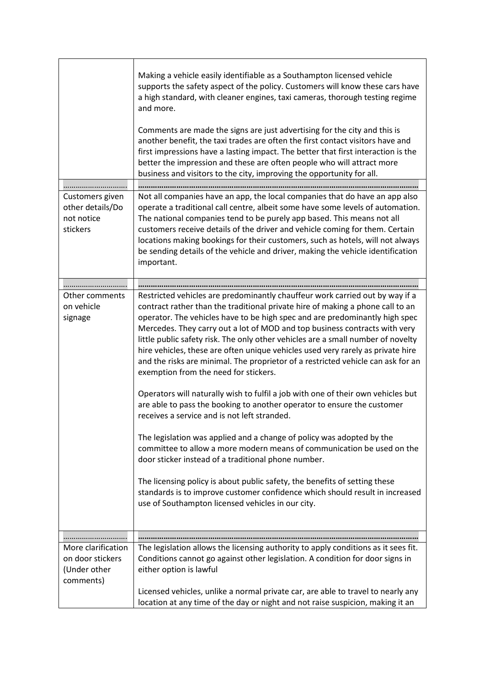|                                                                     | Making a vehicle easily identifiable as a Southampton licensed vehicle<br>supports the safety aspect of the policy. Customers will know these cars have<br>a high standard, with cleaner engines, taxi cameras, thorough testing regime<br>and more.                                                                                                                                                                                                                                                                                                                                                                                                                                                                                                                                                                                                                                                                                                                                                                                                                                                                                                                                                                                                                        |
|---------------------------------------------------------------------|-----------------------------------------------------------------------------------------------------------------------------------------------------------------------------------------------------------------------------------------------------------------------------------------------------------------------------------------------------------------------------------------------------------------------------------------------------------------------------------------------------------------------------------------------------------------------------------------------------------------------------------------------------------------------------------------------------------------------------------------------------------------------------------------------------------------------------------------------------------------------------------------------------------------------------------------------------------------------------------------------------------------------------------------------------------------------------------------------------------------------------------------------------------------------------------------------------------------------------------------------------------------------------|
|                                                                     | Comments are made the signs are just advertising for the city and this is<br>another benefit, the taxi trades are often the first contact visitors have and<br>first impressions have a lasting impact. The better that first interaction is the<br>better the impression and these are often people who will attract more<br>business and visitors to the city, improving the opportunity for all.                                                                                                                                                                                                                                                                                                                                                                                                                                                                                                                                                                                                                                                                                                                                                                                                                                                                         |
|                                                                     |                                                                                                                                                                                                                                                                                                                                                                                                                                                                                                                                                                                                                                                                                                                                                                                                                                                                                                                                                                                                                                                                                                                                                                                                                                                                             |
| Customers given<br>other details/Do<br>not notice<br>stickers       | Not all companies have an app, the local companies that do have an app also<br>operate a traditional call centre, albeit some have some levels of automation.<br>The national companies tend to be purely app based. This means not all<br>customers receive details of the driver and vehicle coming for them. Certain<br>locations making bookings for their customers, such as hotels, will not always<br>be sending details of the vehicle and driver, making the vehicle identification<br>important.                                                                                                                                                                                                                                                                                                                                                                                                                                                                                                                                                                                                                                                                                                                                                                  |
|                                                                     |                                                                                                                                                                                                                                                                                                                                                                                                                                                                                                                                                                                                                                                                                                                                                                                                                                                                                                                                                                                                                                                                                                                                                                                                                                                                             |
|                                                                     |                                                                                                                                                                                                                                                                                                                                                                                                                                                                                                                                                                                                                                                                                                                                                                                                                                                                                                                                                                                                                                                                                                                                                                                                                                                                             |
| Other comments<br>on vehicle<br>signage                             | Restricted vehicles are predominantly chauffeur work carried out by way if a<br>contract rather than the traditional private hire of making a phone call to an<br>operator. The vehicles have to be high spec and are predominantly high spec<br>Mercedes. They carry out a lot of MOD and top business contracts with very<br>little public safety risk. The only other vehicles are a small number of novelty<br>hire vehicles, these are often unique vehicles used very rarely as private hire<br>and the risks are minimal. The proprietor of a restricted vehicle can ask for an<br>exemption from the need for stickers.<br>Operators will naturally wish to fulfil a job with one of their own vehicles but<br>are able to pass the booking to another operator to ensure the customer<br>receives a service and is not left stranded.<br>The legislation was applied and a change of policy was adopted by the<br>committee to allow a more modern means of communication be used on the<br>door sticker instead of a traditional phone number.<br>The licensing policy is about public safety, the benefits of setting these<br>standards is to improve customer confidence which should result in increased<br>use of Southampton licensed vehicles in our city. |
|                                                                     |                                                                                                                                                                                                                                                                                                                                                                                                                                                                                                                                                                                                                                                                                                                                                                                                                                                                                                                                                                                                                                                                                                                                                                                                                                                                             |
| More clarification<br>on door stickers<br>(Under other<br>comments) | The legislation allows the licensing authority to apply conditions as it sees fit.<br>Conditions cannot go against other legislation. A condition for door signs in<br>either option is lawful                                                                                                                                                                                                                                                                                                                                                                                                                                                                                                                                                                                                                                                                                                                                                                                                                                                                                                                                                                                                                                                                              |
|                                                                     | Licensed vehicles, unlike a normal private car, are able to travel to nearly any<br>location at any time of the day or night and not raise suspicion, making it an                                                                                                                                                                                                                                                                                                                                                                                                                                                                                                                                                                                                                                                                                                                                                                                                                                                                                                                                                                                                                                                                                                          |